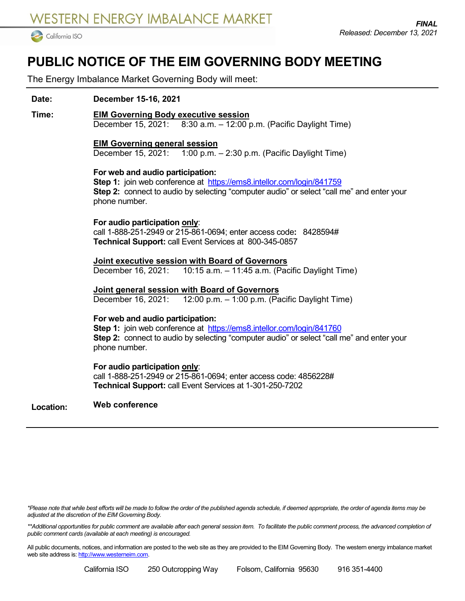

# **PUBLIC NOTICE OF THE EIM GOVERNING BODY MEETING**

The Energy Imbalance Market Governing Body will meet:

# **Date: December 15-16, 2021**

#### **Time: EIM Governing Body executive session**

December 15, 2021: 8:30 a.m. – 12:00 p.m. (Pacific Daylight Time)

## **EIM Governing general session**

December 15, 2021: 1:00 p.m. – 2:30 p.m. (Pacific Daylight Time)

# **For web and audio participation:**

**Step 1:** join web conference at<https://ems8.intellor.com/login/841759> **Step 2:** connect to audio by selecting "computer audio" or select "call me" and enter your phone number.

# **For audio participation only**:

call 1-888-251-2949 or 215-861-0694; enter access code**:** 8428594# **Technical Support:** call Event Services at 800-345-0857

**Joint executive session with Board of Governors** December 16, 2021: 10:15 a.m. – 11:45 a.m. (Pacific Daylight Time)

**Joint general session with Board of Governors** December 16, 2021: 12:00 p.m. – 1:00 p.m. (Pacific Daylight Time)

## **For web and audio participation:**

**Step 1:** join web conference at<https://ems8.intellor.com/login/841760> **Step 2:** connect to audio by selecting "computer audio" or select "call me" and enter your phone number.

## **For audio participation only**:

call 1-888-251-2949 or 215-861-0694; enter access code: 4856228# **Technical Support:** call Event Services at 1-301-250-7202

#### **Location: Web conference**

*\*Please note that while best efforts will be made to follow the order of the published agenda schedule, if deemed appropriate, the order of agenda items may be adjusted at the discretion of the EIM Governing Body.*

\*\*Additional opportunities for public comment are available after each general session item. To facilitate the public comment process, the advanced completion of *public comment cards (available at each meeting) is encouraged.*

All public documents, notices, and information are posted to the web site as they are provided to the EIM Governing Body. The western energy imbalance market web site address is[: http://www.westerneim.com.](http://www.westerneim.com/)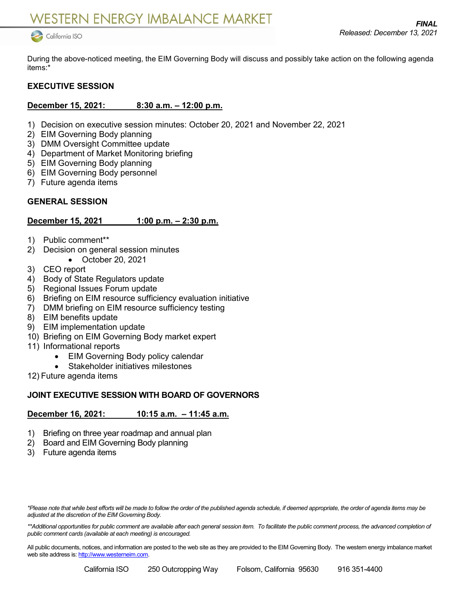

During the above-noticed meeting, the EIM Governing Body will discuss and possibly take action on the following agenda items:\*

# **EXECUTIVE SESSION**

# **December 15, 2021: 8:30 a.m. – 12:00 p.m.**

- 1) Decision on executive session minutes: October 20, 2021 and November 22, 2021
- 2) EIM Governing Body planning
- 3) DMM Oversight Committee update
- 4) Department of Market Monitoring briefing
- 5) EIM Governing Body planning
- 6) EIM Governing Body personnel
- 7) Future agenda items

# **GENERAL SESSION**

# **December 15, 2021 1:00 p.m. – 2:30 p.m.**

- 1) Public comment\*\*
- 2) Decision on general session minutes
	- October 20, 2021
- 3) CEO report
- 4) Body of State Regulators update
- 5) Regional Issues Forum update
- 6) Briefing on EIM resource sufficiency evaluation initiative
- 7) DMM briefing on EIM resource sufficiency testing
- 8) EIM benefits update
- 9) EIM implementation update
- 10) Briefing on EIM Governing Body market expert
- 11) Informational reports
	- EIM Governing Body policy calendar
	- Stakeholder initiatives milestones
- 12) Future agenda items

## **JOINT EXECUTIVE SESSION WITH BOARD OF GOVERNORS**

## **December 16, 2021: 10:15 a.m. – 11:45 a.m.**

- 1) Briefing on three year roadmap and annual plan
- 2) Board and EIM Governing Body planning
- 3) Future agenda items

*\*Please note that while best efforts will be made to follow the order of the published agenda schedule, if deemed appropriate, the order of agenda items may be adjusted at the discretion of the EIM Governing Body.*

\*\*Additional opportunities for public comment are available after each general session item. To facilitate the public comment process, the advanced completion of *public comment cards (available at each meeting) is encouraged.*

All public documents, notices, and information are posted to the web site as they are provided to the EIM Governing Body. The western energy imbalance market web site address is[: http://www.westerneim.com.](http://www.westerneim.com/)